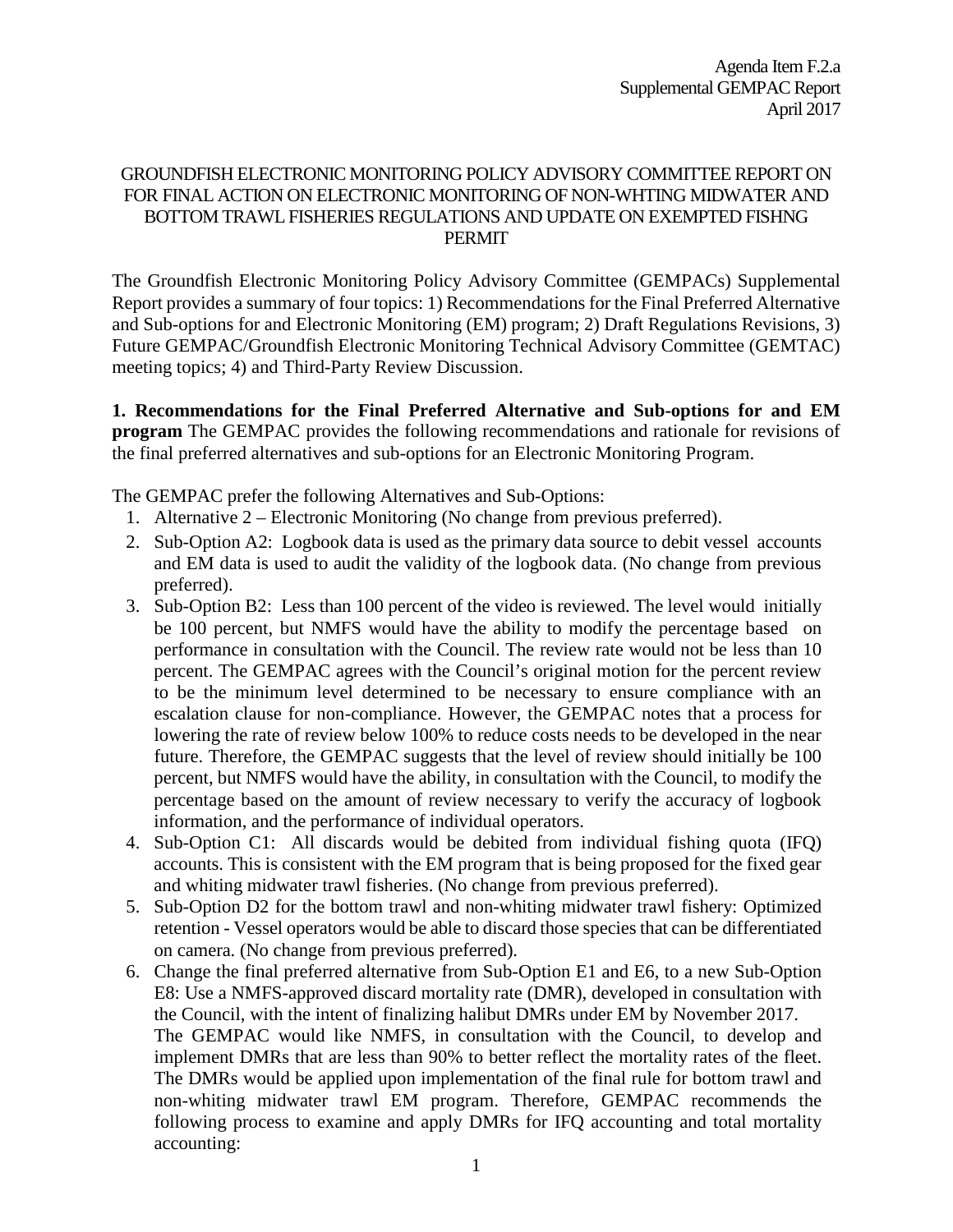## GROUNDFISH ELECTRONIC MONITORING POLICY ADVISORY COMMITTEE REPORT ON FOR FINAL ACTION ON ELECTRONIC MONITORING OF NON-WHTING MIDWATER AND BOTTOM TRAWL FISHERIES REGULATIONS AND UPDATE ON EXEMPTED FISHNG PERMIT

The Groundfish Electronic Monitoring Policy Advisory Committee (GEMPACs) Supplemental Report provides a summary of four topics: 1) Recommendations for the Final Preferred Alternative and Sub-options for and Electronic Monitoring (EM) program; 2) Draft Regulations Revisions, 3) Future GEMPAC/Groundfish Electronic Monitoring Technical Advisory Committee (GEMTAC) meeting topics; 4) and Third-Party Review Discussion.

**1. Recommendations for the Final Preferred Alternative and Sub-options for and EM program** The GEMPAC provides the following recommendations and rationale for revisions of the final preferred alternatives and sub-options for an Electronic Monitoring Program.

The GEMPAC prefer the following Alternatives and Sub-Options:

- 1. Alternative 2 Electronic Monitoring (No change from previous preferred).
- 2. Sub-Option A2: Logbook data is used as the primary data source to debit vessel accounts and EM data is used to audit the validity of the logbook data. (No change from previous preferred).
- 3. Sub-Option B2: Less than 100 percent of the video is reviewed. The level would initially be 100 percent, but NMFS would have the ability to modify the percentage based on performance in consultation with the Council. The review rate would not be less than 10 percent. The GEMPAC agrees with the Council's original motion for the percent review to be the minimum level determined to be necessary to ensure compliance with an escalation clause for non-compliance. However, the GEMPAC notes that a process for lowering the rate of review below 100% to reduce costs needs to be developed in the near future. Therefore, the GEMPAC suggests that the level of review should initially be 100 percent, but NMFS would have the ability, in consultation with the Council, to modify the percentage based on the amount of review necessary to verify the accuracy of logbook information, and the performance of individual operators.
- 4. Sub-Option C1: All discards would be debited from individual fishing quota (IFQ) accounts. This is consistent with the EM program that is being proposed for the fixed gear and whiting midwater trawl fisheries. (No change from previous preferred).
- 5. Sub-Option D2 for the bottom trawl and non-whiting midwater trawl fishery: Optimized retention - Vessel operators would be able to discard those species that can be differentiated on camera. (No change from previous preferred).
- 6. Change the final preferred alternative from Sub-Option E1 and E6, to a new Sub-Option E8: Use a NMFS-approved discard mortality rate (DMR), developed in consultation with the Council, with the intent of finalizing halibut DMRs under EM by November 2017. The GEMPAC would like NMFS, in consultation with the Council, to develop and implement DMRs that are less than 90% to better reflect the mortality rates of the fleet. The DMRs would be applied upon implementation of the final rule for bottom trawl and non-whiting midwater trawl EM program. Therefore, GEMPAC recommends the following process to examine and apply DMRs for IFQ accounting and total mortality accounting: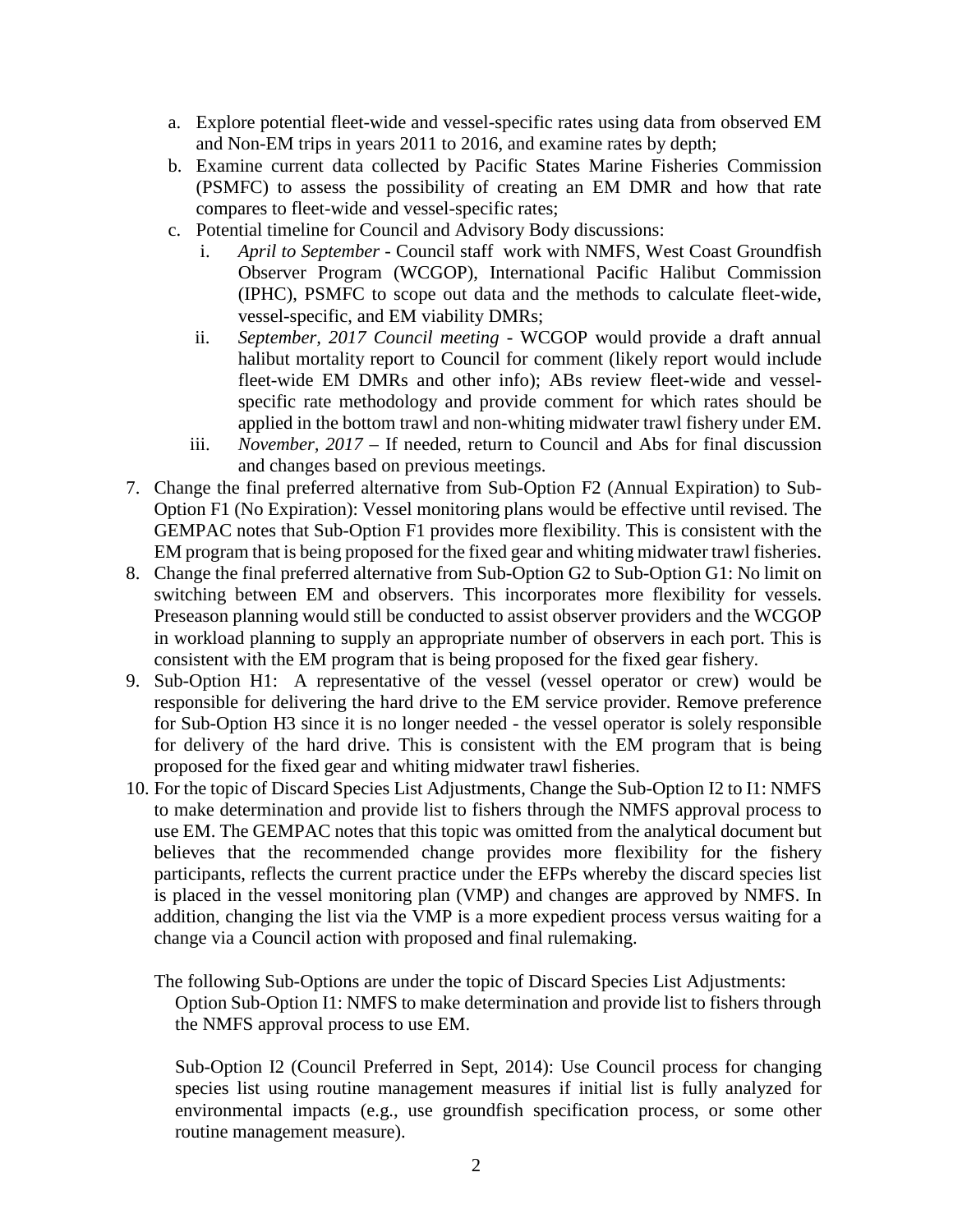- a. Explore potential fleet-wide and vessel-specific rates using data from observed EM and Non-EM trips in years 2011 to 2016, and examine rates by depth;
- b. Examine current data collected by Pacific States Marine Fisheries Commission (PSMFC) to assess the possibility of creating an EM DMR and how that rate compares to fleet-wide and vessel-specific rates;
- c. Potential timeline for Council and Advisory Body discussions:
	- i. *April to September* Council staff work with NMFS, West Coast Groundfish Observer Program (WCGOP), International Pacific Halibut Commission (IPHC), PSMFC to scope out data and the methods to calculate fleet-wide, vessel-specific, and EM viability DMRs;
	- ii. *September, 2017 Council meeting* WCGOP would provide a draft annual halibut mortality report to Council for comment (likely report would include fleet-wide EM DMRs and other info); ABs review fleet-wide and vesselspecific rate methodology and provide comment for which rates should be applied in the bottom trawl and non-whiting midwater trawl fishery under EM.
	- iii. *November, 2017*  If needed, return to Council and Abs for final discussion and changes based on previous meetings.
- 7. Change the final preferred alternative from Sub-Option F2 (Annual Expiration) to Sub-Option F1 (No Expiration): Vessel monitoring plans would be effective until revised. The GEMPAC notes that Sub-Option F1 provides more flexibility. This is consistent with the EM program that is being proposed for the fixed gear and whiting midwater trawl fisheries.
- 8. Change the final preferred alternative from Sub-Option G2 to Sub-Option G1: No limit on switching between EM and observers. This incorporates more flexibility for vessels. Preseason planning would still be conducted to assist observer providers and the WCGOP in workload planning to supply an appropriate number of observers in each port. This is consistent with the EM program that is being proposed for the fixed gear fishery.
- 9. Sub-Option H1: A representative of the vessel (vessel operator or crew) would be responsible for delivering the hard drive to the EM service provider. Remove preference for Sub-Option H3 since it is no longer needed - the vessel operator is solely responsible for delivery of the hard drive. This is consistent with the EM program that is being proposed for the fixed gear and whiting midwater trawl fisheries.
- 10. For the topic of Discard Species List Adjustments, Change the Sub-Option I2 to I1: NMFS to make determination and provide list to fishers through the NMFS approval process to use EM. The GEMPAC notes that this topic was omitted from the analytical document but believes that the recommended change provides more flexibility for the fishery participants, reflects the current practice under the EFPs whereby the discard species list is placed in the vessel monitoring plan (VMP) and changes are approved by NMFS. In addition, changing the list via the VMP is a more expedient process versus waiting for a change via a Council action with proposed and final rulemaking.
	- The following Sub-Options are under the topic of Discard Species List Adjustments: Option Sub-Option I1: NMFS to make determination and provide list to fishers through the NMFS approval process to use EM.

Sub-Option I2 (Council Preferred in Sept, 2014): Use Council process for changing species list using routine management measures if initial list is fully analyzed for environmental impacts (e.g., use groundfish specification process, or some other routine management measure).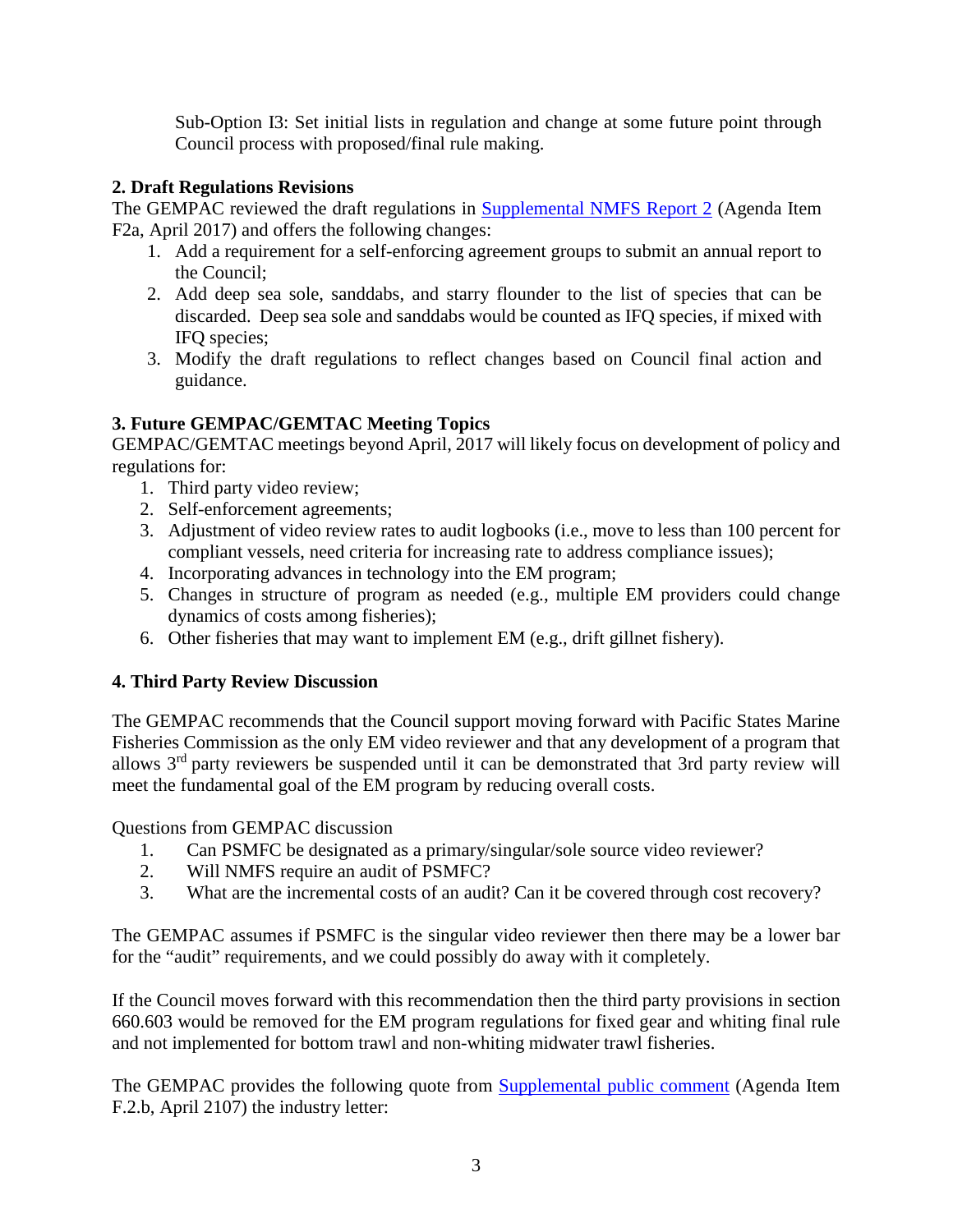Sub-Option I3: Set initial lists in regulation and change at some future point through Council process with proposed/final rule making.

## **2. Draft Regulations Revisions**

The GEMPAC reviewed the draft regulations in **Supplemental NMFS Report 2** (Agenda Item F2a, April 2017) and offers the following changes:

- 1. Add a requirement for a self-enforcing agreement groups to submit an annual report to the Council;
- 2. Add deep sea sole, sanddabs, and starry flounder to the list of species that can be discarded. Deep sea sole and sanddabs would be counted as IFQ species, if mixed with IFQ species;
- 3. Modify the draft regulations to reflect changes based on Council final action and guidance.

## **3. Future GEMPAC/GEMTAC Meeting Topics**

GEMPAC/GEMTAC meetings beyond April, 2017 will likely focus on development of policy and regulations for:

- 1. Third party video review;
- 2. Self-enforcement agreements;
- 3. Adjustment of video review rates to audit logbooks (i.e., move to less than 100 percent for compliant vessels, need criteria for increasing rate to address compliance issues);
- 4. Incorporating advances in technology into the EM program;
- 5. Changes in structure of program as needed (e.g., multiple EM providers could change dynamics of costs among fisheries);
- 6. Other fisheries that may want to implement EM (e.g., drift gillnet fishery).

## **4. Third Party Review Discussion**

The GEMPAC recommends that the Council support moving forward with Pacific States Marine Fisheries Commission as the only EM video reviewer and that any development of a program that allows 3rd party reviewers be suspended until it can be demonstrated that 3rd party review will meet the fundamental goal of the EM program by reducing overall costs.

Questions from GEMPAC discussion

- 1. Can PSMFC be designated as a primary/singular/sole source video reviewer?
- 2. Will NMFS require an audit of PSMFC?
- 3. What are the incremental costs of an audit? Can it be covered through cost recovery?

The GEMPAC assumes if PSMFC is the singular video reviewer then there may be a lower bar for the "audit" requirements, and we could possibly do away with it completely.

If the Council moves forward with this recommendation then the third party provisions in section 660.603 would be removed for the EM program regulations for fixed gear and whiting final rule and not implemented for bottom trawl and non-whiting midwater trawl fisheries.

The GEMPAC provides the following quote from **Supplemental public comment** (Agenda Item F.2.b, April 2107) the industry letter: